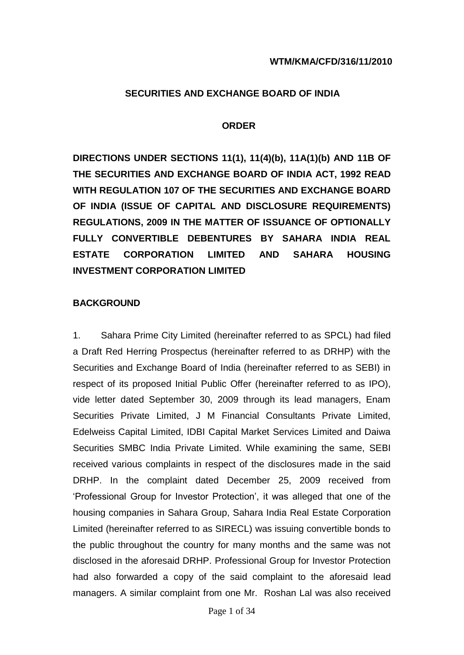#### **SECURITIES AND EXCHANGE BOARD OF INDIA**

#### **ORDER**

**DIRECTIONS UNDER SECTIONS 11(1), 11(4)(b), 11A(1)(b) AND 11B OF THE SECURITIES AND EXCHANGE BOARD OF INDIA ACT, 1992 READ WITH REGULATION 107 OF THE SECURITIES AND EXCHANGE BOARD OF INDIA (ISSUE OF CAPITAL AND DISCLOSURE REQUIREMENTS) REGULATIONS, 2009 IN THE MATTER OF ISSUANCE OF OPTIONALLY FULLY CONVERTIBLE DEBENTURES BY SAHARA INDIA REAL ESTATE CORPORATION LIMITED AND SAHARA HOUSING INVESTMENT CORPORATION LIMITED** 

#### **BACKGROUND**

1. Sahara Prime City Limited (hereinafter referred to as SPCL) had filed a Draft Red Herring Prospectus (hereinafter referred to as DRHP) with the Securities and Exchange Board of India (hereinafter referred to as SEBI) in respect of its proposed Initial Public Offer (hereinafter referred to as IPO), vide letter dated September 30, 2009 through its lead managers, Enam Securities Private Limited, J M Financial Consultants Private Limited, Edelweiss Capital Limited, IDBI Capital Market Services Limited and Daiwa Securities SMBC India Private Limited. While examining the same, SEBI received various complaints in respect of the disclosures made in the said DRHP. In the complaint dated December 25, 2009 received from "Professional Group for Investor Protection", it was alleged that one of the housing companies in Sahara Group, Sahara India Real Estate Corporation Limited (hereinafter referred to as SIRECL) was issuing convertible bonds to the public throughout the country for many months and the same was not disclosed in the aforesaid DRHP. Professional Group for Investor Protection had also forwarded a copy of the said complaint to the aforesaid lead managers. A similar complaint from one Mr. Roshan Lal was also received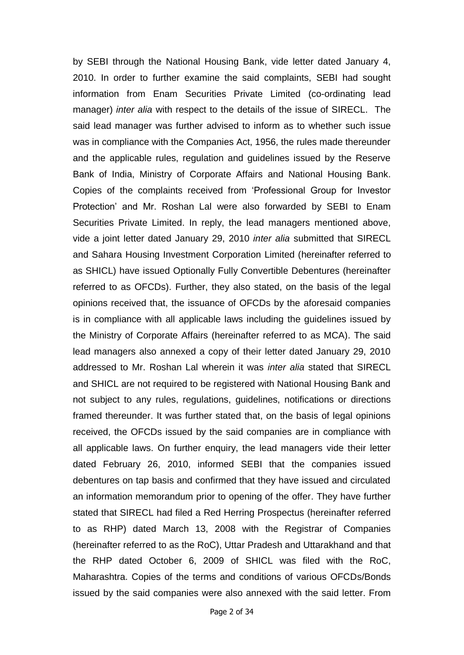by SEBI through the National Housing Bank, vide letter dated January 4, 2010. In order to further examine the said complaints, SEBI had sought information from Enam Securities Private Limited (co-ordinating lead manager) *inter alia* with respect to the details of the issue of SIRECL. The said lead manager was further advised to inform as to whether such issue was in compliance with the Companies Act, 1956, the rules made thereunder and the applicable rules, regulation and guidelines issued by the Reserve Bank of India, Ministry of Corporate Affairs and National Housing Bank. Copies of the complaints received from "Professional Group for Investor Protection" and Mr. Roshan Lal were also forwarded by SEBI to Enam Securities Private Limited. In reply, the lead managers mentioned above, vide a joint letter dated January 29, 2010 *inter alia* submitted that SIRECL and Sahara Housing Investment Corporation Limited (hereinafter referred to as SHICL) have issued Optionally Fully Convertible Debentures (hereinafter referred to as OFCDs). Further, they also stated, on the basis of the legal opinions received that, the issuance of OFCDs by the aforesaid companies is in compliance with all applicable laws including the guidelines issued by the Ministry of Corporate Affairs (hereinafter referred to as MCA). The said lead managers also annexed a copy of their letter dated January 29, 2010 addressed to Mr. Roshan Lal wherein it was *inter alia* stated that SIRECL and SHICL are not required to be registered with National Housing Bank and not subject to any rules, regulations, guidelines, notifications or directions framed thereunder. It was further stated that, on the basis of legal opinions received, the OFCDs issued by the said companies are in compliance with all applicable laws. On further enquiry, the lead managers vide their letter dated February 26, 2010, informed SEBI that the companies issued debentures on tap basis and confirmed that they have issued and circulated an information memorandum prior to opening of the offer. They have further stated that SIRECL had filed a Red Herring Prospectus (hereinafter referred to as RHP) dated March 13, 2008 with the Registrar of Companies (hereinafter referred to as the RoC), Uttar Pradesh and Uttarakhand and that the RHP dated October 6, 2009 of SHICL was filed with the RoC, Maharashtra. Copies of the terms and conditions of various OFCDs/Bonds issued by the said companies were also annexed with the said letter. From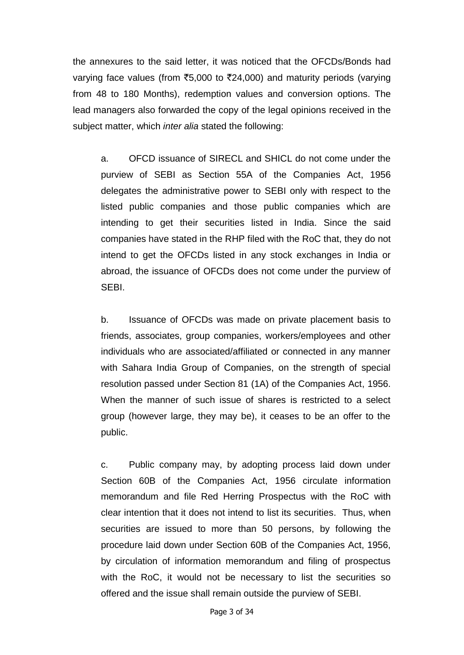the annexures to the said letter, it was noticed that the OFCDs/Bonds had varying face values (from ₹5,000 to ₹24,000) and maturity periods (varying from 48 to 180 Months), redemption values and conversion options. The lead managers also forwarded the copy of the legal opinions received in the subject matter, which *inter alia* stated the following:

a. OFCD issuance of SIRECL and SHICL do not come under the purview of SEBI as Section 55A of the Companies Act, 1956 delegates the administrative power to SEBI only with respect to the listed public companies and those public companies which are intending to get their securities listed in India. Since the said companies have stated in the RHP filed with the RoC that, they do not intend to get the OFCDs listed in any stock exchanges in India or abroad, the issuance of OFCDs does not come under the purview of SEBI.

b. Issuance of OFCDs was made on private placement basis to friends, associates, group companies, workers/employees and other individuals who are associated/affiliated or connected in any manner with Sahara India Group of Companies, on the strength of special resolution passed under Section 81 (1A) of the Companies Act, 1956. When the manner of such issue of shares is restricted to a select group (however large, they may be), it ceases to be an offer to the public.

c. Public company may, by adopting process laid down under Section 60B of the Companies Act, 1956 circulate information memorandum and file Red Herring Prospectus with the RoC with clear intention that it does not intend to list its securities. Thus, when securities are issued to more than 50 persons, by following the procedure laid down under Section 60B of the Companies Act, 1956, by circulation of information memorandum and filing of prospectus with the RoC, it would not be necessary to list the securities so offered and the issue shall remain outside the purview of SEBI.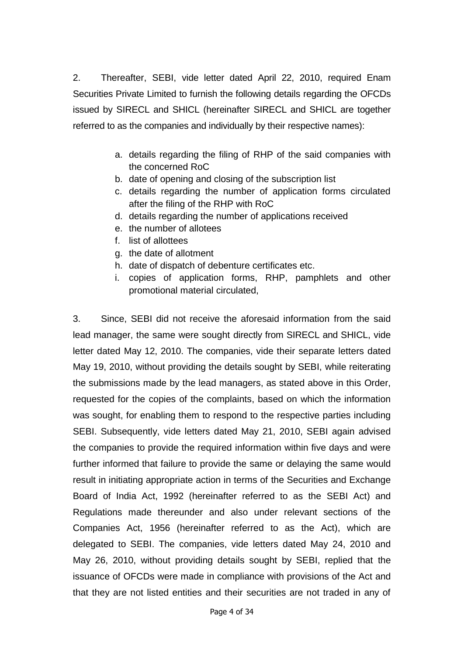2. Thereafter, SEBI, vide letter dated April 22, 2010, required Enam Securities Private Limited to furnish the following details regarding the OFCDs issued by SIRECL and SHICL (hereinafter SIRECL and SHICL are together referred to as the companies and individually by their respective names):

- a. details regarding the filing of RHP of the said companies with the concerned RoC
- b. date of opening and closing of the subscription list
- c. details regarding the number of application forms circulated after the filing of the RHP with RoC
- d. details regarding the number of applications received
- e. the number of allotees
- f. list of allottees
- g. the date of allotment
- h. date of dispatch of debenture certificates etc.
- i. copies of application forms, RHP, pamphlets and other promotional material circulated,

3. Since, SEBI did not receive the aforesaid information from the said lead manager, the same were sought directly from SIRECL and SHICL, vide letter dated May 12, 2010. The companies, vide their separate letters dated May 19, 2010, without providing the details sought by SEBI, while reiterating the submissions made by the lead managers, as stated above in this Order, requested for the copies of the complaints, based on which the information was sought, for enabling them to respond to the respective parties including SEBI. Subsequently, vide letters dated May 21, 2010, SEBI again advised the companies to provide the required information within five days and were further informed that failure to provide the same or delaying the same would result in initiating appropriate action in terms of the Securities and Exchange Board of India Act, 1992 (hereinafter referred to as the SEBI Act) and Regulations made thereunder and also under relevant sections of the Companies Act, 1956 (hereinafter referred to as the Act), which are delegated to SEBI. The companies, vide letters dated May 24, 2010 and May 26, 2010, without providing details sought by SEBI, replied that the issuance of OFCDs were made in compliance with provisions of the Act and that they are not listed entities and their securities are not traded in any of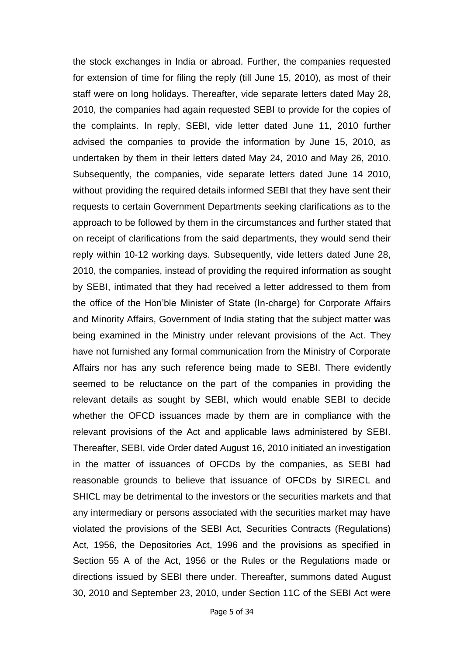the stock exchanges in India or abroad. Further, the companies requested for extension of time for filing the reply (till June 15, 2010), as most of their staff were on long holidays. Thereafter, vide separate letters dated May 28, 2010, the companies had again requested SEBI to provide for the copies of the complaints. In reply, SEBI, vide letter dated June 11, 2010 further advised the companies to provide the information by June 15, 2010, as undertaken by them in their letters dated May 24, 2010 and May 26, 2010. Subsequently, the companies, vide separate letters dated June 14 2010, without providing the required details informed SEBI that they have sent their requests to certain Government Departments seeking clarifications as to the approach to be followed by them in the circumstances and further stated that on receipt of clarifications from the said departments, they would send their reply within 10-12 working days. Subsequently, vide letters dated June 28, 2010, the companies, instead of providing the required information as sought by SEBI, intimated that they had received a letter addressed to them from the office of the Hon"ble Minister of State (In-charge) for Corporate Affairs and Minority Affairs, Government of India stating that the subject matter was being examined in the Ministry under relevant provisions of the Act. They have not furnished any formal communication from the Ministry of Corporate Affairs nor has any such reference being made to SEBI. There evidently seemed to be reluctance on the part of the companies in providing the relevant details as sought by SEBI, which would enable SEBI to decide whether the OFCD issuances made by them are in compliance with the relevant provisions of the Act and applicable laws administered by SEBI. Thereafter, SEBI, vide Order dated August 16, 2010 initiated an investigation in the matter of issuances of OFCDs by the companies, as SEBI had reasonable grounds to believe that issuance of OFCDs by SIRECL and SHICL may be detrimental to the investors or the securities markets and that any intermediary or persons associated with the securities market may have violated the provisions of the SEBI Act, Securities Contracts (Regulations) Act, 1956, the Depositories Act, 1996 and the provisions as specified in Section 55 A of the Act, 1956 or the Rules or the Regulations made or directions issued by SEBI there under. Thereafter, summons dated August 30, 2010 and September 23, 2010, under Section 11C of the SEBI Act were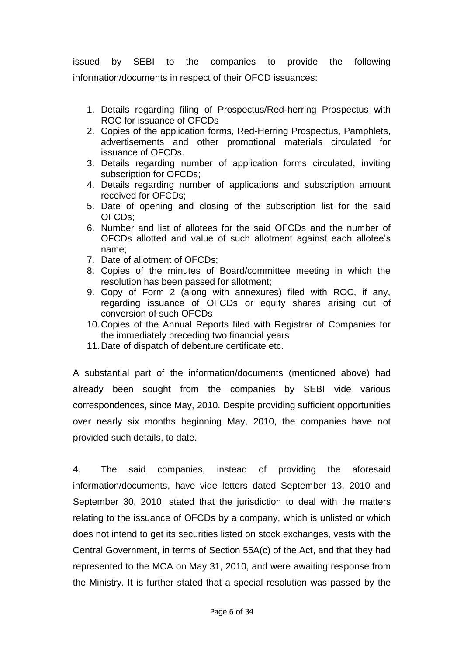issued by SEBI to the companies to provide the following information/documents in respect of their OFCD issuances:

- 1. Details regarding filing of Prospectus/Red-herring Prospectus with ROC for issuance of OFCDs
- 2. Copies of the application forms, Red-Herring Prospectus, Pamphlets, advertisements and other promotional materials circulated for issuance of OFCDs.
- 3. Details regarding number of application forms circulated, inviting subscription for OFCDs;
- 4. Details regarding number of applications and subscription amount received for OFCDs;
- 5. Date of opening and closing of the subscription list for the said OFCDs;
- 6. Number and list of allotees for the said OFCDs and the number of OFCDs allotted and value of such allotment against each allotee"s name;
- 7. Date of allotment of OFCDs;
- 8. Copies of the minutes of Board/committee meeting in which the resolution has been passed for allotment;
- 9. Copy of Form 2 (along with annexures) filed with ROC, if any, regarding issuance of OFCDs or equity shares arising out of conversion of such OFCDs
- 10.Copies of the Annual Reports filed with Registrar of Companies for the immediately preceding two financial years
- 11.Date of dispatch of debenture certificate etc.

A substantial part of the information/documents (mentioned above) had already been sought from the companies by SEBI vide various correspondences, since May, 2010. Despite providing sufficient opportunities over nearly six months beginning May, 2010, the companies have not provided such details, to date.

4. The said companies, instead of providing the aforesaid information/documents, have vide letters dated September 13, 2010 and September 30, 2010, stated that the jurisdiction to deal with the matters relating to the issuance of OFCDs by a company, which is unlisted or which does not intend to get its securities listed on stock exchanges, vests with the Central Government, in terms of Section 55A(c) of the Act, and that they had represented to the MCA on May 31, 2010, and were awaiting response from the Ministry. It is further stated that a special resolution was passed by the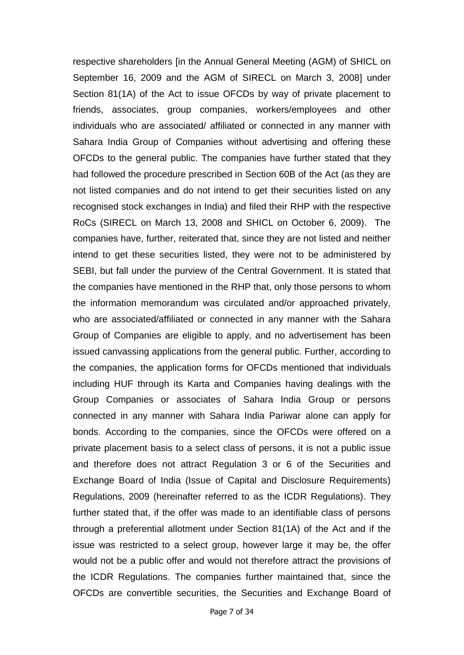respective shareholders [in the Annual General Meeting (AGM) of SHICL on September 16, 2009 and the AGM of SIRECL on March 3, 2008] under Section 81(1A) of the Act to issue OFCDs by way of private placement to friends, associates, group companies, workers/employees and other individuals who are associated/ affiliated or connected in any manner with Sahara India Group of Companies without advertising and offering these OFCDs to the general public. The companies have further stated that they had followed the procedure prescribed in Section 60B of the Act (as they are not listed companies and do not intend to get their securities listed on any recognised stock exchanges in India) and filed their RHP with the respective RoCs (SIRECL on March 13, 2008 and SHICL on October 6, 2009). The companies have, further, reiterated that, since they are not listed and neither intend to get these securities listed, they were not to be administered by SEBI, but fall under the purview of the Central Government. It is stated that the companies have mentioned in the RHP that, only those persons to whom the information memorandum was circulated and/or approached privately, who are associated/affiliated or connected in any manner with the Sahara Group of Companies are eligible to apply, and no advertisement has been issued canvassing applications from the general public. Further, according to the companies, the application forms for OFCDs mentioned that individuals including HUF through its Karta and Companies having dealings with the Group Companies or associates of Sahara India Group or persons connected in any manner with Sahara India Pariwar alone can apply for bonds. According to the companies, since the OFCDs were offered on a private placement basis to a select class of persons, it is not a public issue and therefore does not attract Regulation 3 or 6 of the Securities and Exchange Board of India (Issue of Capital and Disclosure Requirements) Regulations, 2009 (hereinafter referred to as the ICDR Regulations). They further stated that, if the offer was made to an identifiable class of persons through a preferential allotment under Section 81(1A) of the Act and if the issue was restricted to a select group, however large it may be, the offer would not be a public offer and would not therefore attract the provisions of the ICDR Regulations. The companies further maintained that, since the OFCDs are convertible securities, the Securities and Exchange Board of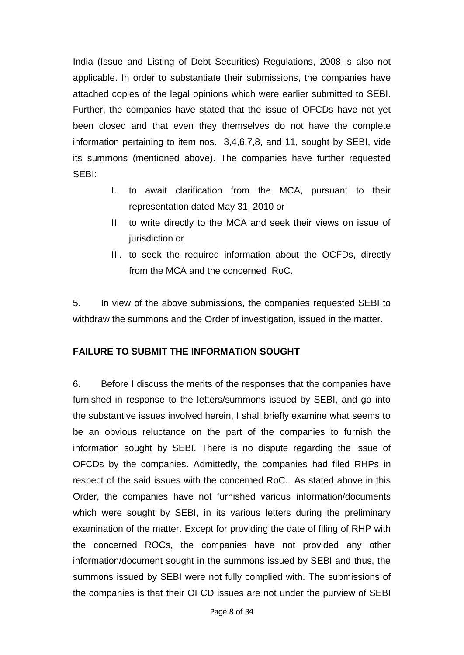India (Issue and Listing of Debt Securities) Regulations, 2008 is also not applicable. In order to substantiate their submissions, the companies have attached copies of the legal opinions which were earlier submitted to SEBI. Further, the companies have stated that the issue of OFCDs have not yet been closed and that even they themselves do not have the complete information pertaining to item nos. 3,4,6,7,8, and 11, sought by SEBI, vide its summons (mentioned above). The companies have further requested SEBI:

- I. to await clarification from the MCA, pursuant to their representation dated May 31, 2010 or
- II. to write directly to the MCA and seek their views on issue of jurisdiction or
- III. to seek the required information about the OCFDs, directly from the MCA and the concerned RoC.

5. In view of the above submissions, the companies requested SEBI to withdraw the summons and the Order of investigation, issued in the matter.

### **FAILURE TO SUBMIT THE INFORMATION SOUGHT**

6. Before I discuss the merits of the responses that the companies have furnished in response to the letters/summons issued by SEBI, and go into the substantive issues involved herein, I shall briefly examine what seems to be an obvious reluctance on the part of the companies to furnish the information sought by SEBI. There is no dispute regarding the issue of OFCDs by the companies. Admittedly, the companies had filed RHPs in respect of the said issues with the concerned RoC. As stated above in this Order, the companies have not furnished various information/documents which were sought by SEBI, in its various letters during the preliminary examination of the matter. Except for providing the date of filing of RHP with the concerned ROCs, the companies have not provided any other information/document sought in the summons issued by SEBI and thus, the summons issued by SEBI were not fully complied with. The submissions of the companies is that their OFCD issues are not under the purview of SEBI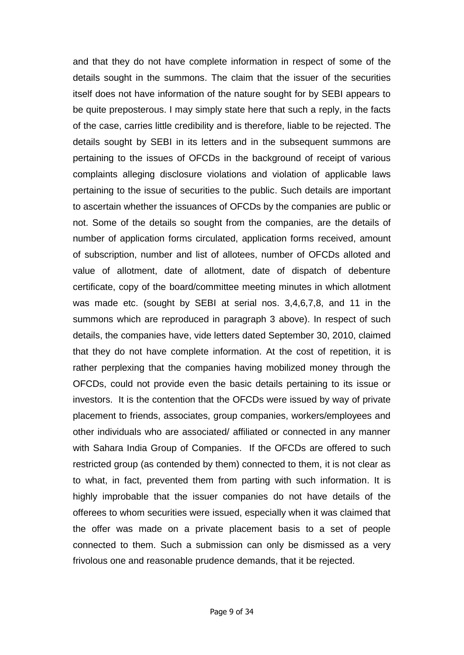and that they do not have complete information in respect of some of the details sought in the summons. The claim that the issuer of the securities itself does not have information of the nature sought for by SEBI appears to be quite preposterous. I may simply state here that such a reply, in the facts of the case, carries little credibility and is therefore, liable to be rejected. The details sought by SEBI in its letters and in the subsequent summons are pertaining to the issues of OFCDs in the background of receipt of various complaints alleging disclosure violations and violation of applicable laws pertaining to the issue of securities to the public. Such details are important to ascertain whether the issuances of OFCDs by the companies are public or not. Some of the details so sought from the companies, are the details of number of application forms circulated, application forms received, amount of subscription, number and list of allotees, number of OFCDs alloted and value of allotment, date of allotment, date of dispatch of debenture certificate, copy of the board/committee meeting minutes in which allotment was made etc. (sought by SEBI at serial nos. 3,4,6,7,8, and 11 in the summons which are reproduced in paragraph 3 above). In respect of such details, the companies have, vide letters dated September 30, 2010, claimed that they do not have complete information. At the cost of repetition, it is rather perplexing that the companies having mobilized money through the OFCDs, could not provide even the basic details pertaining to its issue or investors. It is the contention that the OFCDs were issued by way of private placement to friends, associates, group companies, workers/employees and other individuals who are associated/ affiliated or connected in any manner with Sahara India Group of Companies. If the OFCDs are offered to such restricted group (as contended by them) connected to them, it is not clear as to what, in fact, prevented them from parting with such information. It is highly improbable that the issuer companies do not have details of the offerees to whom securities were issued, especially when it was claimed that the offer was made on a private placement basis to a set of people connected to them. Such a submission can only be dismissed as a very frivolous one and reasonable prudence demands, that it be rejected.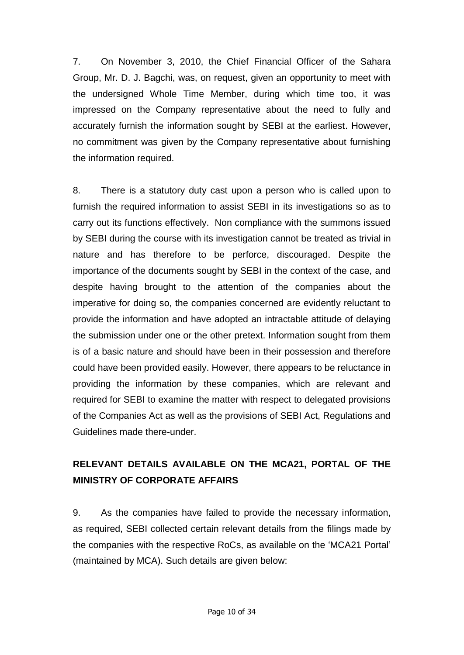7. On November 3, 2010, the Chief Financial Officer of the Sahara Group, Mr. D. J. Bagchi, was, on request, given an opportunity to meet with the undersigned Whole Time Member, during which time too, it was impressed on the Company representative about the need to fully and accurately furnish the information sought by SEBI at the earliest. However, no commitment was given by the Company representative about furnishing the information required.

8. There is a statutory duty cast upon a person who is called upon to furnish the required information to assist SEBI in its investigations so as to carry out its functions effectively. Non compliance with the summons issued by SEBI during the course with its investigation cannot be treated as trivial in nature and has therefore to be perforce, discouraged. Despite the importance of the documents sought by SEBI in the context of the case, and despite having brought to the attention of the companies about the imperative for doing so, the companies concerned are evidently reluctant to provide the information and have adopted an intractable attitude of delaying the submission under one or the other pretext. Information sought from them is of a basic nature and should have been in their possession and therefore could have been provided easily. However, there appears to be reluctance in providing the information by these companies, which are relevant and required for SEBI to examine the matter with respect to delegated provisions of the Companies Act as well as the provisions of SEBI Act, Regulations and Guidelines made there-under.

## **RELEVANT DETAILS AVAILABLE ON THE MCA21, PORTAL OF THE MINISTRY OF CORPORATE AFFAIRS**

9. As the companies have failed to provide the necessary information, as required, SEBI collected certain relevant details from the filings made by the companies with the respective RoCs, as available on the "MCA21 Portal" (maintained by MCA). Such details are given below: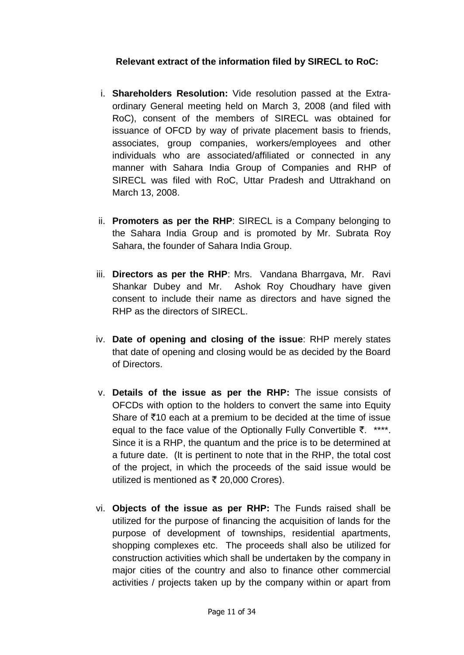### **Relevant extract of the information filed by SIRECL to RoC:**

- i. **Shareholders Resolution:** Vide resolution passed at the Extraordinary General meeting held on March 3, 2008 (and filed with RoC), consent of the members of SIRECL was obtained for issuance of OFCD by way of private placement basis to friends, associates, group companies, workers/employees and other individuals who are associated/affiliated or connected in any manner with Sahara India Group of Companies and RHP of SIRECL was filed with RoC, Uttar Pradesh and Uttrakhand on March 13, 2008.
- ii. **Promoters as per the RHP**: SIRECL is a Company belonging to the Sahara India Group and is promoted by Mr. Subrata Roy Sahara, the founder of Sahara India Group.
- iii. **Directors as per the RHP**: Mrs. Vandana Bharrgava, Mr. Ravi Shankar Dubey and Mr. Ashok Roy Choudhary have given consent to include their name as directors and have signed the RHP as the directors of SIRECL.
- iv. **Date of opening and closing of the issue**: RHP merely states that date of opening and closing would be as decided by the Board of Directors.
- v. **Details of the issue as per the RHP:** The issue consists of OFCDs with option to the holders to convert the same into Equity Share of  $\bar{z}$ 10 each at a premium to be decided at the time of issue equal to the face value of the Optionally Fully Convertible  $\bar{z}$ . \*\*\*\*. Since it is a RHP, the quantum and the price is to be determined at a future date. (It is pertinent to note that in the RHP, the total cost of the project, in which the proceeds of the said issue would be utilized is mentioned as  $\bar{\tau}$  20,000 Crores).
- vi. **Objects of the issue as per RHP:** The Funds raised shall be utilized for the purpose of financing the acquisition of lands for the purpose of development of townships, residential apartments, shopping complexes etc. The proceeds shall also be utilized for construction activities which shall be undertaken by the company in major cities of the country and also to finance other commercial activities / projects taken up by the company within or apart from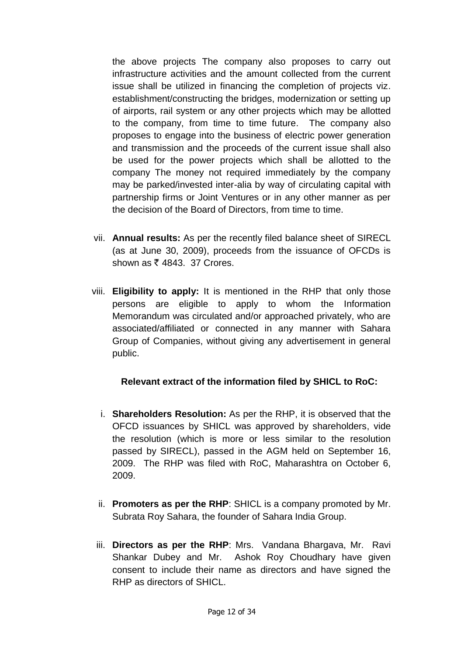the above projects The company also proposes to carry out infrastructure activities and the amount collected from the current issue shall be utilized in financing the completion of projects viz. establishment/constructing the bridges, modernization or setting up of airports, rail system or any other projects which may be allotted to the company, from time to time future. The company also proposes to engage into the business of electric power generation and transmission and the proceeds of the current issue shall also be used for the power projects which shall be allotted to the company The money not required immediately by the company may be parked/invested inter-alia by way of circulating capital with partnership firms or Joint Ventures or in any other manner as per the decision of the Board of Directors, from time to time.

- vii. **Annual results:** As per the recently filed balance sheet of SIRECL (as at June 30, 2009), proceeds from the issuance of OFCDs is shown as  $\bar{\bar{\xi}}$  4843. 37 Crores.
- viii. **Eligibility to apply:** It is mentioned in the RHP that only those persons are eligible to apply to whom the Information Memorandum was circulated and/or approached privately, who are associated/affiliated or connected in any manner with Sahara Group of Companies, without giving any advertisement in general public.

### **Relevant extract of the information filed by SHICL to RoC:**

- i. **Shareholders Resolution:** As per the RHP, it is observed that the OFCD issuances by SHICL was approved by shareholders, vide the resolution (which is more or less similar to the resolution passed by SIRECL), passed in the AGM held on September 16, 2009. The RHP was filed with RoC, Maharashtra on October 6, 2009.
- ii. **Promoters as per the RHP**: SHICL is a company promoted by Mr. Subrata Roy Sahara, the founder of Sahara India Group.
- iii. **Directors as per the RHP**: Mrs. Vandana Bhargava, Mr. Ravi Shankar Dubey and Mr. Ashok Roy Choudhary have given consent to include their name as directors and have signed the RHP as directors of SHICL.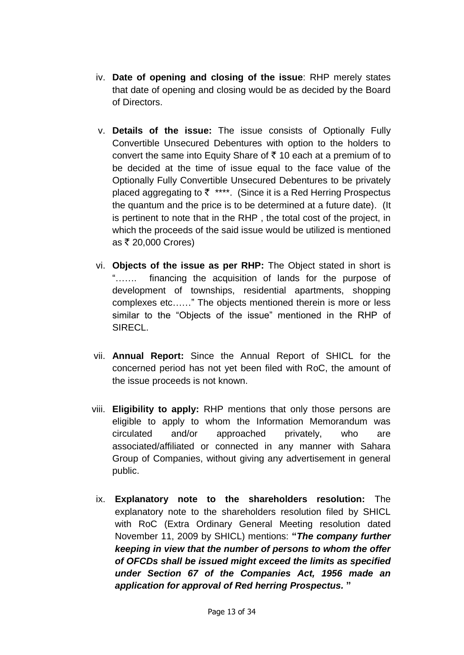- iv. **Date of opening and closing of the issue**: RHP merely states that date of opening and closing would be as decided by the Board of Directors.
- v. **Details of the issue:** The issue consists of Optionally Fully Convertible Unsecured Debentures with option to the holders to convert the same into Equity Share of  $\bar{\tau}$  10 each at a premium of to be decided at the time of issue equal to the face value of the Optionally Fully Convertible Unsecured Debentures to be privately placed aggregating to  $\bar{z}$  \*\*\*\*. (Since it is a Red Herring Prospectus the quantum and the price is to be determined at a future date). (It is pertinent to note that in the RHP , the total cost of the project, in which the proceeds of the said issue would be utilized is mentioned as  $\bar{x}$  20,000 Crores)
- vi. **Objects of the issue as per RHP:** The Object stated in short is "……. financing the acquisition of lands for the purpose of development of townships, residential apartments, shopping complexes etc……" The objects mentioned therein is more or less similar to the "Objects of the issue" mentioned in the RHP of SIRECL.
- vii. **Annual Report:** Since the Annual Report of SHICL for the concerned period has not yet been filed with RoC, the amount of the issue proceeds is not known.
- viii. **Eligibility to apply:** RHP mentions that only those persons are eligible to apply to whom the Information Memorandum was circulated and/or approached privately, who are associated/affiliated or connected in any manner with Sahara Group of Companies, without giving any advertisement in general public.
	- ix. **Explanatory note to the shareholders resolution:** The explanatory note to the shareholders resolution filed by SHICL with RoC (Extra Ordinary General Meeting resolution dated November 11, 2009 by SHICL) mentions: **"***The company further keeping in view that the number of persons to whom the offer of OFCDs shall be issued might exceed the limits as specified under Section 67 of the Companies Act, 1956 made an application for approval of Red herring Prospectus.* **"**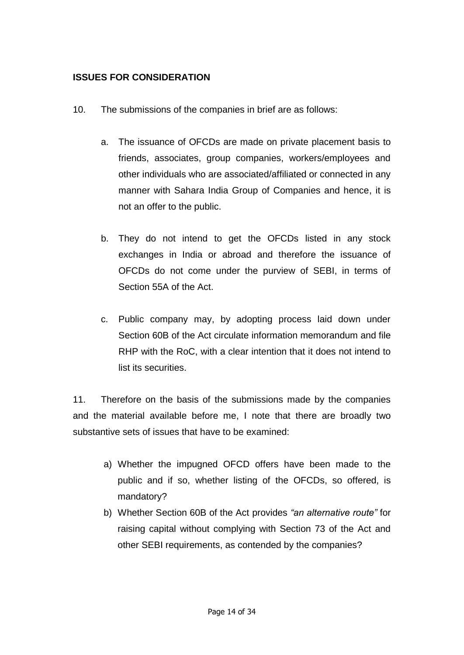## **ISSUES FOR CONSIDERATION**

- 10. The submissions of the companies in brief are as follows:
	- a. The issuance of OFCDs are made on private placement basis to friends, associates, group companies, workers/employees and other individuals who are associated/affiliated or connected in any manner with Sahara India Group of Companies and hence, it is not an offer to the public.
	- b. They do not intend to get the OFCDs listed in any stock exchanges in India or abroad and therefore the issuance of OFCDs do not come under the purview of SEBI, in terms of Section 55A of the Act.
	- c. Public company may, by adopting process laid down under Section 60B of the Act circulate information memorandum and file RHP with the RoC, with a clear intention that it does not intend to list its securities.

11. Therefore on the basis of the submissions made by the companies and the material available before me, I note that there are broadly two substantive sets of issues that have to be examined:

- a) Whether the impugned OFCD offers have been made to the public and if so, whether listing of the OFCDs, so offered, is mandatory?
- b) Whether Section 60B of the Act provides *"an alternative route"* for raising capital without complying with Section 73 of the Act and other SEBI requirements, as contended by the companies?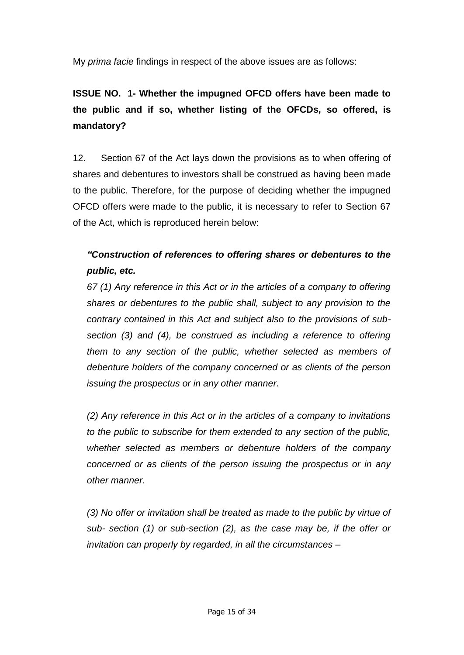My *prima facie* findings in respect of the above issues are as follows:

**ISSUE NO. 1- Whether the impugned OFCD offers have been made to the public and if so, whether listing of the OFCDs, so offered, is mandatory?**

12. Section 67 of the Act lays down the provisions as to when offering of shares and debentures to investors shall be construed as having been made to the public. Therefore, for the purpose of deciding whether the impugned OFCD offers were made to the public, it is necessary to refer to Section 67 of the Act, which is reproduced herein below:

## *"Construction of references to offering shares or debentures to the public, etc.*

*67 (1) Any reference in this Act or in the articles of a company to offering shares or debentures to the public shall, subject to any provision to the contrary contained in this Act and subject also to the provisions of subsection (3) and (4), be construed as including a reference to offering them to any section of the public, whether selected as members of debenture holders of the company concerned or as clients of the person issuing the prospectus or in any other manner.* 

*(2) Any reference in this Act or in the articles of a company to invitations to the public to subscribe for them extended to any section of the public, whether selected as members or debenture holders of the company concerned or as clients of the person issuing the prospectus or in any other manner.* 

*(3) No offer or invitation shall be treated as made to the public by virtue of sub- section (1) or sub-section (2), as the case may be, if the offer or invitation can properly by regarded, in all the circumstances –*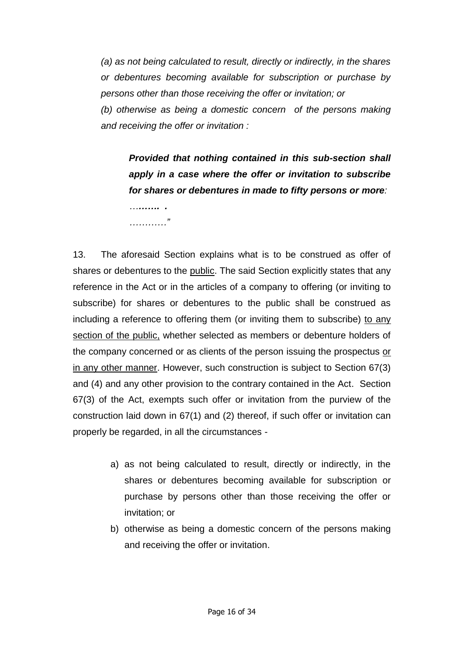*(a) as not being calculated to result, directly or indirectly, in the shares or debentures becoming available for subscription or purchase by persons other than those receiving the offer or invitation; or*

*(b) otherwise as being a domestic concern of the persons making and receiving the offer or invitation :*

*Provided that nothing contained in this sub-section shall apply in a case where the offer or invitation to subscribe for shares or debentures in made to fifty persons or more:*

*………. . …………"* 

13. The aforesaid Section explains what is to be construed as offer of shares or debentures to the public. The said Section explicitly states that any reference in the Act or in the articles of a company to offering (or inviting to subscribe) for shares or debentures to the public shall be construed as including a reference to offering them (or inviting them to subscribe) to any section of the public, whether selected as members or debenture holders of the company concerned or as clients of the person issuing the prospectus or in any other manner. However, such construction is subject to Section 67(3) and (4) and any other provision to the contrary contained in the Act. Section 67(3) of the Act, exempts such offer or invitation from the purview of the construction laid down in 67(1) and (2) thereof, if such offer or invitation can properly be regarded, in all the circumstances -

- a) as not being calculated to result, directly or indirectly, in the shares or debentures becoming available for subscription or purchase by persons other than those receiving the offer or invitation; or
- b) otherwise as being a domestic concern of the persons making and receiving the offer or invitation.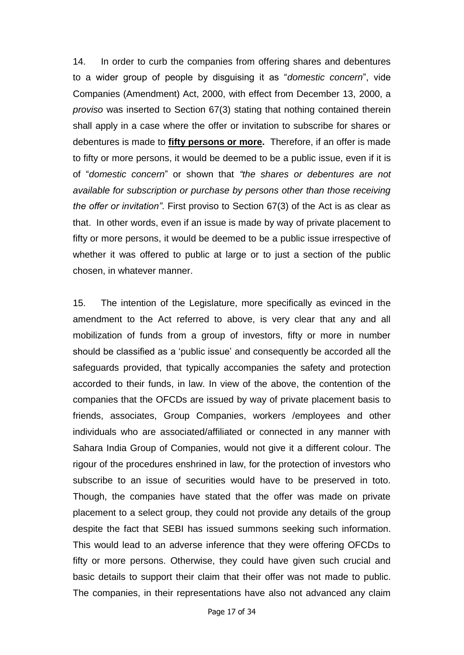14. In order to curb the companies from offering shares and debentures to a wider group of people by disguising it as "*domestic concern*", vide Companies (Amendment) Act, 2000, with effect from December 13, 2000, a *proviso* was inserted to Section 67(3) stating that nothing contained therein shall apply in a case where the offer or invitation to subscribe for shares or debentures is made to **fifty persons or more.** Therefore, if an offer is made to fifty or more persons, it would be deemed to be a public issue, even if it is of "*domestic concern*" or shown that *"the shares or debentures are not available for subscription or purchase by persons other than those receiving the offer or invitation"*. First proviso to Section 67(3) of the Act is as clear as that. In other words, even if an issue is made by way of private placement to fifty or more persons, it would be deemed to be a public issue irrespective of whether it was offered to public at large or to just a section of the public chosen, in whatever manner.

15. The intention of the Legislature, more specifically as evinced in the amendment to the Act referred to above, is very clear that any and all mobilization of funds from a group of investors, fifty or more in number should be classified as a "public issue" and consequently be accorded all the safeguards provided, that typically accompanies the safety and protection accorded to their funds, in law. In view of the above, the contention of the companies that the OFCDs are issued by way of private placement basis to friends, associates, Group Companies, workers /employees and other individuals who are associated/affiliated or connected in any manner with Sahara India Group of Companies, would not give it a different colour. The rigour of the procedures enshrined in law, for the protection of investors who subscribe to an issue of securities would have to be preserved in toto. Though, the companies have stated that the offer was made on private placement to a select group, they could not provide any details of the group despite the fact that SEBI has issued summons seeking such information. This would lead to an adverse inference that they were offering OFCDs to fifty or more persons. Otherwise, they could have given such crucial and basic details to support their claim that their offer was not made to public. The companies, in their representations have also not advanced any claim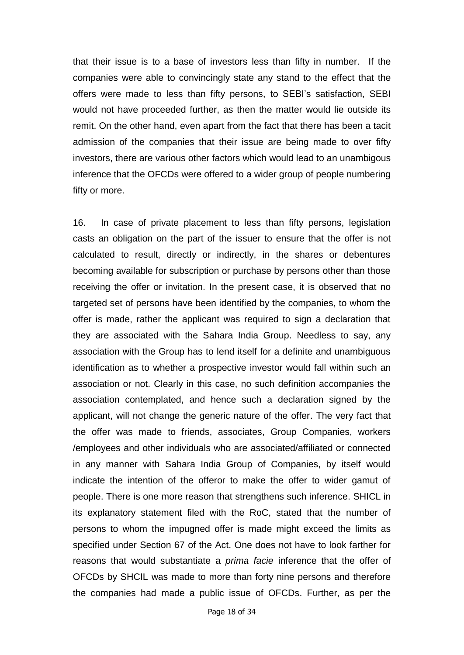that their issue is to a base of investors less than fifty in number. If the companies were able to convincingly state any stand to the effect that the offers were made to less than fifty persons, to SEBI"s satisfaction, SEBI would not have proceeded further, as then the matter would lie outside its remit. On the other hand, even apart from the fact that there has been a tacit admission of the companies that their issue are being made to over fifty investors, there are various other factors which would lead to an unambigous inference that the OFCDs were offered to a wider group of people numbering fifty or more.

16. In case of private placement to less than fifty persons, legislation casts an obligation on the part of the issuer to ensure that the offer is not calculated to result, directly or indirectly, in the shares or debentures becoming available for subscription or purchase by persons other than those receiving the offer or invitation. In the present case, it is observed that no targeted set of persons have been identified by the companies, to whom the offer is made, rather the applicant was required to sign a declaration that they are associated with the Sahara India Group. Needless to say, any association with the Group has to lend itself for a definite and unambiguous identification as to whether a prospective investor would fall within such an association or not. Clearly in this case, no such definition accompanies the association contemplated, and hence such a declaration signed by the applicant, will not change the generic nature of the offer. The very fact that the offer was made to friends, associates, Group Companies, workers /employees and other individuals who are associated/affiliated or connected in any manner with Sahara India Group of Companies, by itself would indicate the intention of the offeror to make the offer to wider gamut of people. There is one more reason that strengthens such inference. SHICL in its explanatory statement filed with the RoC, stated that the number of persons to whom the impugned offer is made might exceed the limits as specified under Section 67 of the Act. One does not have to look farther for reasons that would substantiate a *prima facie* inference that the offer of OFCDs by SHCIL was made to more than forty nine persons and therefore the companies had made a public issue of OFCDs. Further, as per the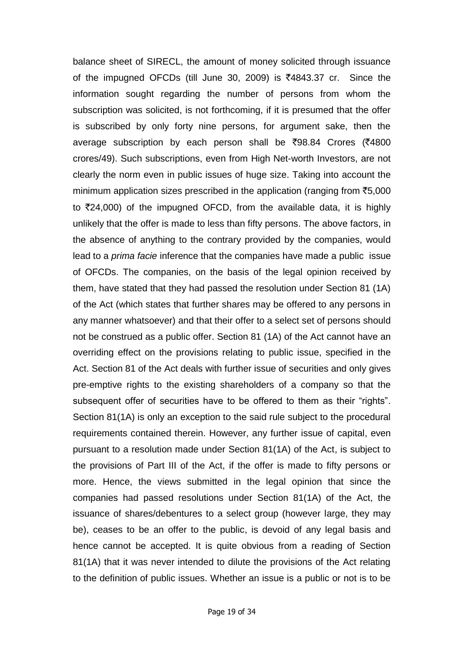balance sheet of SIRECL, the amount of money solicited through issuance of the impugned OFCDs (till June 30, 2009) is  $\overline{6}4843.37$  cr. Since the information sought regarding the number of persons from whom the subscription was solicited, is not forthcoming, if it is presumed that the offer is subscribed by only forty nine persons, for argument sake, then the average subscription by each person shall be  $\overline{598.84}$  Crores ( $\overline{54800}$ ) crores/49). Such subscriptions, even from High Net-worth Investors, are not clearly the norm even in public issues of huge size. Taking into account the minimum application sizes prescribed in the application (ranging from  $\overline{55,000}$ to  $\overline{2}24,000$  of the impugned OFCD, from the available data, it is highly unlikely that the offer is made to less than fifty persons. The above factors, in the absence of anything to the contrary provided by the companies, would lead to a *prima facie* inference that the companies have made a public issue of OFCDs. The companies, on the basis of the legal opinion received by them, have stated that they had passed the resolution under Section 81 (1A) of the Act (which states that further shares may be offered to any persons in any manner whatsoever) and that their offer to a select set of persons should not be construed as a public offer. Section 81 (1A) of the Act cannot have an overriding effect on the provisions relating to public issue, specified in the Act. Section 81 of the Act deals with further issue of securities and only gives pre-emptive rights to the existing shareholders of a company so that the subsequent offer of securities have to be offered to them as their "rights". Section 81(1A) is only an exception to the said rule subject to the procedural requirements contained therein. However, any further issue of capital, even pursuant to a resolution made under Section 81(1A) of the Act, is subject to the provisions of Part III of the Act, if the offer is made to fifty persons or more. Hence, the views submitted in the legal opinion that since the companies had passed resolutions under Section 81(1A) of the Act, the issuance of shares/debentures to a select group (however large, they may be), ceases to be an offer to the public, is devoid of any legal basis and hence cannot be accepted. It is quite obvious from a reading of Section 81(1A) that it was never intended to dilute the provisions of the Act relating to the definition of public issues. Whether an issue is a public or not is to be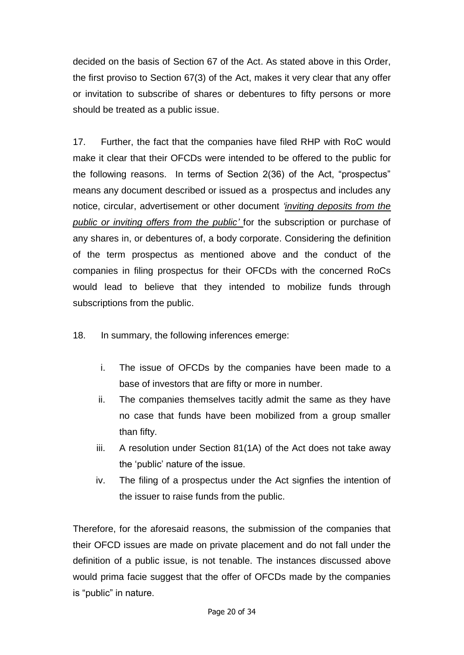decided on the basis of Section 67 of the Act. As stated above in this Order, the first proviso to Section 67(3) of the Act, makes it very clear that any offer or invitation to subscribe of shares or debentures to fifty persons or more should be treated as a public issue.

17. Further, the fact that the companies have filed RHP with RoC would make it clear that their OFCDs were intended to be offered to the public for the following reasons. In terms of Section 2(36) of the Act, "prospectus" means any document described or issued as a prospectus and includes any notice, circular, advertisement or other document *"inviting deposits from the public or inviting offers from the public"* for the subscription or purchase of any shares in, or debentures of, a body corporate. Considering the definition of the term prospectus as mentioned above and the conduct of the companies in filing prospectus for their OFCDs with the concerned RoCs would lead to believe that they intended to mobilize funds through subscriptions from the public.

- 18. In summary, the following inferences emerge:
	- i. The issue of OFCDs by the companies have been made to a base of investors that are fifty or more in number.
	- ii. The companies themselves tacitly admit the same as they have no case that funds have been mobilized from a group smaller than fifty.
	- iii. A resolution under Section 81(1A) of the Act does not take away the "public" nature of the issue.
	- iv. The filing of a prospectus under the Act signfies the intention of the issuer to raise funds from the public.

Therefore, for the aforesaid reasons, the submission of the companies that their OFCD issues are made on private placement and do not fall under the definition of a public issue, is not tenable. The instances discussed above would prima facie suggest that the offer of OFCDs made by the companies is "public" in nature.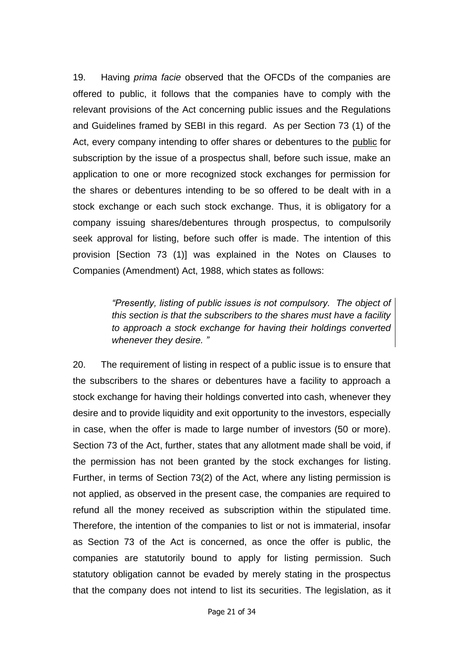19. Having *prima facie* observed that the OFCDs of the companies are offered to public, it follows that the companies have to comply with the relevant provisions of the Act concerning public issues and the Regulations and Guidelines framed by SEBI in this regard. As per Section 73 (1) of the Act, every company intending to offer shares or debentures to the public for subscription by the issue of a prospectus shall, before such issue, make an application to one or more recognized stock exchanges for permission for the shares or debentures intending to be so offered to be dealt with in a stock exchange or each such stock exchange. Thus, it is obligatory for a company issuing shares/debentures through prospectus, to compulsorily seek approval for listing, before such offer is made. The intention of this provision [Section 73 (1)] was explained in the Notes on Clauses to Companies (Amendment) Act, 1988, which states as follows:

> *"Presently, listing of public issues is not compulsory. The object of this section is that the subscribers to the shares must have a facility to approach a stock exchange for having their holdings converted whenever they desire. "*

20. The requirement of listing in respect of a public issue is to ensure that the subscribers to the shares or debentures have a facility to approach a stock exchange for having their holdings converted into cash, whenever they desire and to provide liquidity and exit opportunity to the investors, especially in case, when the offer is made to large number of investors (50 or more). Section 73 of the Act, further, states that any allotment made shall be void, if the permission has not been granted by the stock exchanges for listing. Further, in terms of Section 73(2) of the Act, where any listing permission is not applied, as observed in the present case, the companies are required to refund all the money received as subscription within the stipulated time. Therefore, the intention of the companies to list or not is immaterial, insofar as Section 73 of the Act is concerned, as once the offer is public, the companies are statutorily bound to apply for listing permission. Such statutory obligation cannot be evaded by merely stating in the prospectus that the company does not intend to list its securities. The legislation, as it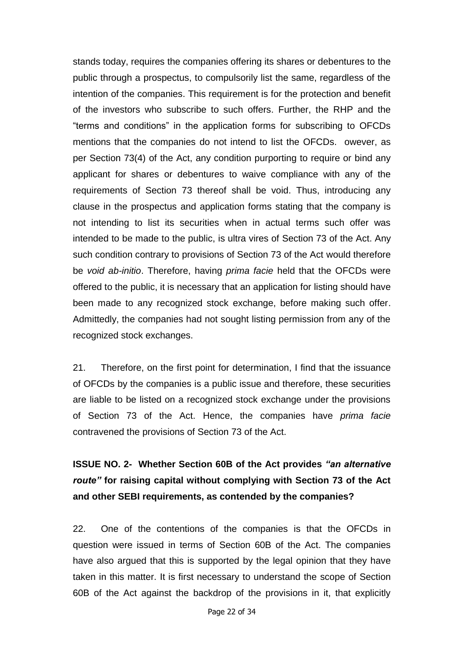stands today, requires the companies offering its shares or debentures to the public through a prospectus, to compulsorily list the same, regardless of the intention of the companies. This requirement is for the protection and benefit of the investors who subscribe to such offers. Further, the RHP and the "terms and conditions" in the application forms for subscribing to OFCDs mentions that the companies do not intend to list the OFCDs. owever, as per Section 73(4) of the Act, any condition purporting to require or bind any applicant for shares or debentures to waive compliance with any of the requirements of Section 73 thereof shall be void. Thus, introducing any clause in the prospectus and application forms stating that the company is not intending to list its securities when in actual terms such offer was intended to be made to the public, is ultra vires of Section 73 of the Act. Any such condition contrary to provisions of Section 73 of the Act would therefore be *void ab-initio*. Therefore, having *prima facie* held that the OFCDs were offered to the public, it is necessary that an application for listing should have been made to any recognized stock exchange, before making such offer. Admittedly, the companies had not sought listing permission from any of the recognized stock exchanges.

21. Therefore, on the first point for determination, I find that the issuance of OFCDs by the companies is a public issue and therefore, these securities are liable to be listed on a recognized stock exchange under the provisions of Section 73 of the Act. Hence, the companies have *prima facie* contravened the provisions of Section 73 of the Act.

# **ISSUE NO. 2- Whether Section 60B of the Act provides** *"an alternative route"* **for raising capital without complying with Section 73 of the Act and other SEBI requirements, as contended by the companies?**

22. One of the contentions of the companies is that the OFCDs in question were issued in terms of Section 60B of the Act. The companies have also argued that this is supported by the legal opinion that they have taken in this matter. It is first necessary to understand the scope of Section 60B of the Act against the backdrop of the provisions in it, that explicitly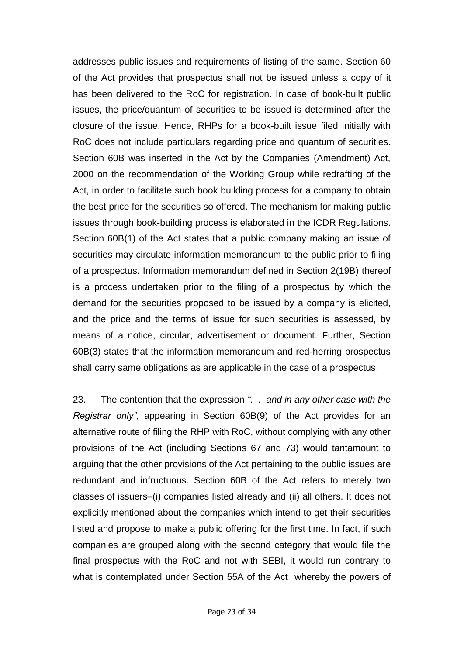addresses public issues and requirements of listing of the same. Section 60 of the Act provides that prospectus shall not be issued unless a copy of it has been delivered to the RoC for registration. In case of book-built public issues, the price/quantum of securities to be issued is determined after the closure of the issue. Hence, RHPs for a book-built issue filed initially with RoC does not include particulars regarding price and quantum of securities. Section 60B was inserted in the Act by the Companies (Amendment) Act, 2000 on the recommendation of the Working Group while redrafting of the Act, in order to facilitate such book building process for a company to obtain the best price for the securities so offered. The mechanism for making public issues through book-building process is elaborated in the ICDR Regulations. Section 60B(1) of the Act states that a public company making an issue of securities may circulate information memorandum to the public prior to filing of a prospectus. Information memorandum defined in Section 2(19B) thereof is a process undertaken prior to the filing of a prospectus by which the demand for the securities proposed to be issued by a company is elicited, and the price and the terms of issue for such securities is assessed, by means of a notice, circular, advertisement or document. Further, Section 60B(3) states that the information memorandum and red-herring prospectus shall carry same obligations as are applicable in the case of a prospectus.

23. The contention that the expression *". . and in any other case with the Registrar only",* appearing in Section 60B(9) of the Act provides for an alternative route of filing the RHP with RoC, without complying with any other provisions of the Act (including Sections 67 and 73) would tantamount to arguing that the other provisions of the Act pertaining to the public issues are redundant and infructuous. Section 60B of the Act refers to merely two classes of issuers–(i) companies listed already and (ii) all others. It does not explicitly mentioned about the companies which intend to get their securities listed and propose to make a public offering for the first time. In fact, if such companies are grouped along with the second category that would file the final prospectus with the RoC and not with SEBI, it would run contrary to what is contemplated under Section 55A of the Act whereby the powers of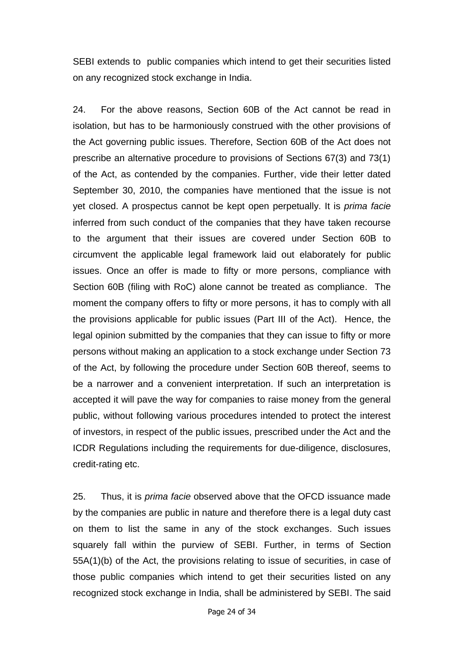SEBI extends to public companies which intend to get their securities listed on any recognized stock exchange in India.

24. For the above reasons, Section 60B of the Act cannot be read in isolation, but has to be harmoniously construed with the other provisions of the Act governing public issues. Therefore, Section 60B of the Act does not prescribe an alternative procedure to provisions of Sections 67(3) and 73(1) of the Act, as contended by the companies. Further, vide their letter dated September 30, 2010, the companies have mentioned that the issue is not yet closed. A prospectus cannot be kept open perpetually. It is *prima facie*  inferred from such conduct of the companies that they have taken recourse to the argument that their issues are covered under Section 60B to circumvent the applicable legal framework laid out elaborately for public issues. Once an offer is made to fifty or more persons, compliance with Section 60B (filing with RoC) alone cannot be treated as compliance. The moment the company offers to fifty or more persons, it has to comply with all the provisions applicable for public issues (Part III of the Act). Hence, the legal opinion submitted by the companies that they can issue to fifty or more persons without making an application to a stock exchange under Section 73 of the Act, by following the procedure under Section 60B thereof, seems to be a narrower and a convenient interpretation. If such an interpretation is accepted it will pave the way for companies to raise money from the general public, without following various procedures intended to protect the interest of investors, in respect of the public issues, prescribed under the Act and the ICDR Regulations including the requirements for due-diligence, disclosures, credit-rating etc.

25. Thus, it is *prima facie* observed above that the OFCD issuance made by the companies are public in nature and therefore there is a legal duty cast on them to list the same in any of the stock exchanges. Such issues squarely fall within the purview of SEBI. Further, in terms of Section 55A(1)(b) of the Act, the provisions relating to issue of securities, in case of those public companies which intend to get their securities listed on any recognized stock exchange in India, shall be administered by SEBI. The said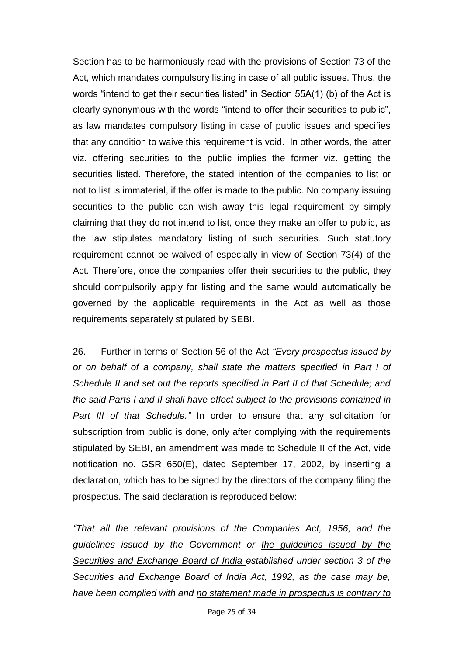Section has to be harmoniously read with the provisions of Section 73 of the Act, which mandates compulsory listing in case of all public issues. Thus, the words "intend to get their securities listed" in Section 55A(1) (b) of the Act is clearly synonymous with the words "intend to offer their securities to public", as law mandates compulsory listing in case of public issues and specifies that any condition to waive this requirement is void. In other words, the latter viz. offering securities to the public implies the former viz. getting the securities listed. Therefore, the stated intention of the companies to list or not to list is immaterial, if the offer is made to the public. No company issuing securities to the public can wish away this legal requirement by simply claiming that they do not intend to list, once they make an offer to public, as the law stipulates mandatory listing of such securities. Such statutory requirement cannot be waived of especially in view of Section 73(4) of the Act. Therefore, once the companies offer their securities to the public, they should compulsorily apply for listing and the same would automatically be governed by the applicable requirements in the Act as well as those requirements separately stipulated by SEBI.

26. Further in terms of Section 56 of the Act *"Every prospectus issued by or on behalf of a company, shall state the matters specified in Part I of Schedule II and set out the reports specified in Part II of that Schedule; and the said Parts I and II shall have effect subject to the provisions contained in Part III of that Schedule."* In order to ensure that any solicitation for subscription from public is done, only after complying with the requirements stipulated by SEBI, an amendment was made to Schedule II of the Act, vide notification no. GSR 650(E), dated September 17, 2002, by inserting a declaration, which has to be signed by the directors of the company filing the prospectus. The said declaration is reproduced below:

*"That all the relevant provisions of the Companies Act, 1956, and the guidelines issued by the Government or the guidelines issued by the Securities and Exchange Board of India established under section 3 of the Securities and Exchange Board of India Act, 1992, as the case may be, have been complied with and no statement made in prospectus is contrary to* 

Page 25 of 34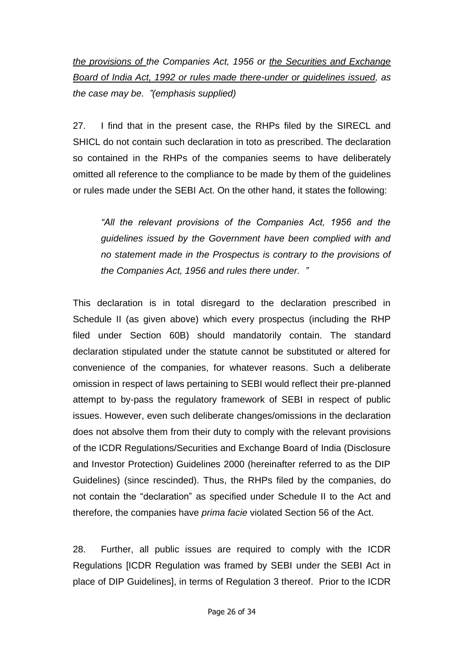*the provisions of the Companies Act, 1956 or the Securities and Exchange Board of India Act, 1992 or rules made there-under or guidelines issued, as the case may be. "(emphasis supplied)*

27. I find that in the present case, the RHPs filed by the SIRECL and SHICL do not contain such declaration in toto as prescribed. The declaration so contained in the RHPs of the companies seems to have deliberately omitted all reference to the compliance to be made by them of the guidelines or rules made under the SEBI Act. On the other hand, it states the following:

*"All the relevant provisions of the Companies Act, 1956 and the guidelines issued by the Government have been complied with and no statement made in the Prospectus is contrary to the provisions of the Companies Act, 1956 and rules there under. "*

This declaration is in total disregard to the declaration prescribed in Schedule II (as given above) which every prospectus (including the RHP filed under Section 60B) should mandatorily contain. The standard declaration stipulated under the statute cannot be substituted or altered for convenience of the companies, for whatever reasons. Such a deliberate omission in respect of laws pertaining to SEBI would reflect their pre-planned attempt to by-pass the regulatory framework of SEBI in respect of public issues. However, even such deliberate changes/omissions in the declaration does not absolve them from their duty to comply with the relevant provisions of the ICDR Regulations/Securities and Exchange Board of India (Disclosure and Investor Protection) Guidelines 2000 (hereinafter referred to as the DIP Guidelines) (since rescinded). Thus, the RHPs filed by the companies, do not contain the "declaration" as specified under Schedule II to the Act and therefore, the companies have *prima facie* violated Section 56 of the Act.

28. Further, all public issues are required to comply with the ICDR Regulations [ICDR Regulation was framed by SEBI under the SEBI Act in place of DIP Guidelines], in terms of Regulation 3 thereof. Prior to the ICDR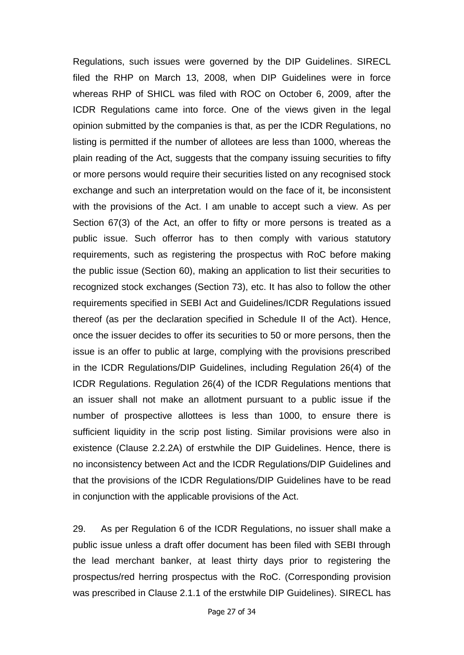Regulations, such issues were governed by the DIP Guidelines. SIRECL filed the RHP on March 13, 2008, when DIP Guidelines were in force whereas RHP of SHICL was filed with ROC on October 6, 2009, after the ICDR Regulations came into force. One of the views given in the legal opinion submitted by the companies is that, as per the ICDR Regulations, no listing is permitted if the number of allotees are less than 1000, whereas the plain reading of the Act, suggests that the company issuing securities to fifty or more persons would require their securities listed on any recognised stock exchange and such an interpretation would on the face of it, be inconsistent with the provisions of the Act. I am unable to accept such a view. As per Section 67(3) of the Act, an offer to fifty or more persons is treated as a public issue. Such offerror has to then comply with various statutory requirements, such as registering the prospectus with RoC before making the public issue (Section 60), making an application to list their securities to recognized stock exchanges (Section 73), etc. It has also to follow the other requirements specified in SEBI Act and Guidelines/ICDR Regulations issued thereof (as per the declaration specified in Schedule II of the Act). Hence, once the issuer decides to offer its securities to 50 or more persons, then the issue is an offer to public at large, complying with the provisions prescribed in the ICDR Regulations/DIP Guidelines, including Regulation 26(4) of the ICDR Regulations. Regulation 26(4) of the ICDR Regulations mentions that an issuer shall not make an allotment pursuant to a public issue if the number of prospective allottees is less than 1000, to ensure there is sufficient liquidity in the scrip post listing. Similar provisions were also in existence (Clause 2.2.2A) of erstwhile the DIP Guidelines. Hence, there is no inconsistency between Act and the ICDR Regulations/DIP Guidelines and that the provisions of the ICDR Regulations/DIP Guidelines have to be read in conjunction with the applicable provisions of the Act.

29. As per Regulation 6 of the ICDR Regulations, no issuer shall make a public issue unless a draft offer document has been filed with SEBI through the lead merchant banker, at least thirty days prior to registering the prospectus/red herring prospectus with the RoC. (Corresponding provision was prescribed in Clause 2.1.1 of the erstwhile DIP Guidelines). SIRECL has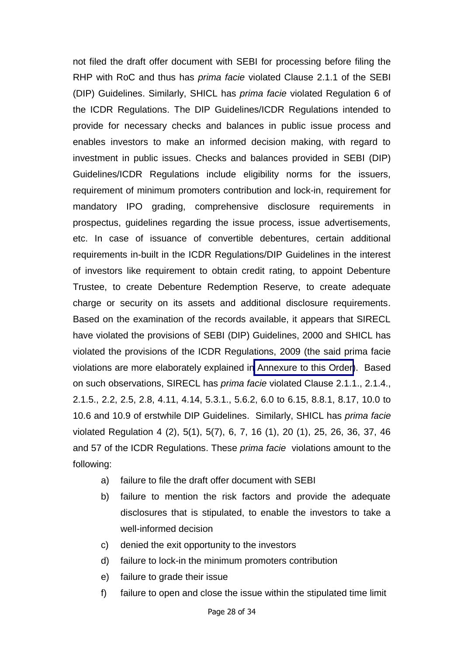not filed the draft offer document with SEBI for processing before filing the RHP with RoC and thus has *prima facie* violated Clause 2.1.1 of the SEBI (DIP) Guidelines. Similarly, SHICL has *prima facie* violated Regulation 6 of the ICDR Regulations. The DIP Guidelines/ICDR Regulations intended to provide for necessary checks and balances in public issue process and enables investors to make an informed decision making, with regard to investment in public issues. Checks and balances provided in SEBI (DIP) Guidelines/ICDR Regulations include eligibility norms for the issuers, requirement of minimum promoters contribution and lock-in, requirement for mandatory IPO grading, comprehensive disclosure requirements in prospectus, guidelines regarding the issue process, issue advertisements, etc. In case of issuance of convertible debentures, certain additional requirements in-built in the ICDR Regulations/DIP Guidelines in the interest of investors like requirement to obtain credit rating, to appoint Debenture Trustee, to create Debenture Redemption Reserve, to create adequate charge or security on its assets and additional disclosure requirements. Based on the examination of the records available, it appears that SIRECL have violated the provisions of SEBI (DIP) Guidelines, 2000 and SHICL has violated the provisions of the ICDR Regulations, 2009 (the said prima facie violations are more elaborately explained i[n Annexure to this Order\)](SaharaAnnexure.pdf). Based on such observations, SIRECL has *prima facie* violated Clause 2.1.1., 2.1.4., 2.1.5., 2.2, 2.5, 2.8, 4.11, 4.14, 5.3.1., 5.6.2, 6.0 to 6.15, 8.8.1, 8.17, 10.0 to 10.6 and 10.9 of erstwhile DIP Guidelines. Similarly, SHICL has *prima facie* violated Regulation 4 (2), 5(1), 5(7), 6, 7, 16 (1), 20 (1), 25, 26, 36, 37, 46 and 57 of the ICDR Regulations. These *prima facie* violations amount to the following:

- a) failure to file the draft offer document with SEBI
- b) failure to mention the risk factors and provide the adequate disclosures that is stipulated, to enable the investors to take a well-informed decision
- c) denied the exit opportunity to the investors
- d) failure to lock-in the minimum promoters contribution
- e) failure to grade their issue
- f) failure to open and close the issue within the stipulated time limit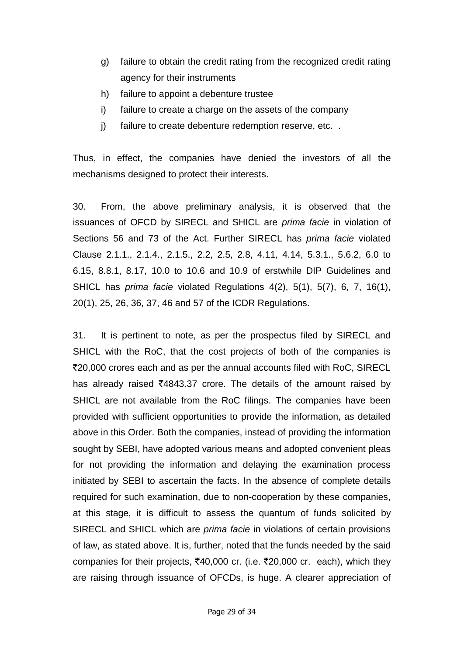- g) failure to obtain the credit rating from the recognized credit rating agency for their instruments
- h) failure to appoint a debenture trustee
- i) failure to create a charge on the assets of the company
- j) failure to create debenture redemption reserve, etc. .

Thus, in effect, the companies have denied the investors of all the mechanisms designed to protect their interests.

30. From, the above preliminary analysis, it is observed that the issuances of OFCD by SIRECL and SHICL are *prima facie* in violation of Sections 56 and 73 of the Act. Further SIRECL has *prima facie* violated Clause 2.1.1., 2.1.4., 2.1.5., 2.2, 2.5, 2.8, 4.11, 4.14, 5.3.1., 5.6.2, 6.0 to 6.15, 8.8.1, 8.17, 10.0 to 10.6 and 10.9 of erstwhile DIP Guidelines and SHICL has *prima facie* violated Regulations 4(2), 5(1), 5(7), 6, 7, 16(1), 20(1), 25, 26, 36, 37, 46 and 57 of the ICDR Regulations.

31. It is pertinent to note, as per the prospectus filed by SIRECL and SHICL with the RoC, that the cost projects of both of the companies is `20,000 crores each and as per the annual accounts filed with RoC, SIRECL has already raised  $\overline{4843.37}$  crore. The details of the amount raised by SHICL are not available from the RoC filings. The companies have been provided with sufficient opportunities to provide the information, as detailed above in this Order. Both the companies, instead of providing the information sought by SEBI, have adopted various means and adopted convenient pleas for not providing the information and delaying the examination process initiated by SEBI to ascertain the facts. In the absence of complete details required for such examination, due to non-cooperation by these companies, at this stage, it is difficult to assess the quantum of funds solicited by SIRECL and SHICL which are *prima facie* in violations of certain provisions of law, as stated above. It is, further, noted that the funds needed by the said companies for their projects,  $\overline{5}40,000$  cr. (i.e.  $\overline{5}20,000$  cr. each), which they are raising through issuance of OFCDs, is huge. A clearer appreciation of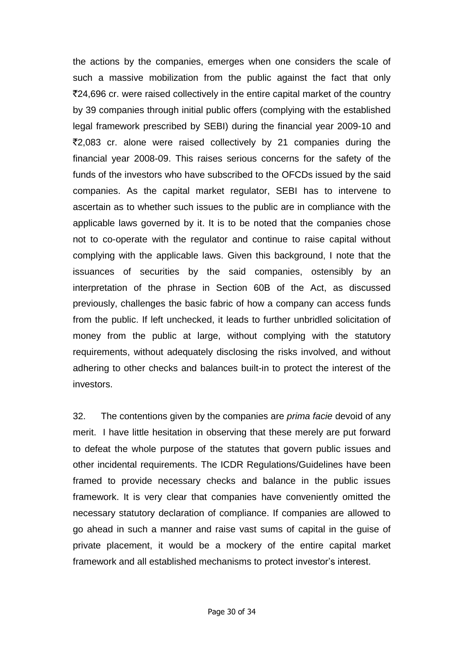the actions by the companies, emerges when one considers the scale of such a massive mobilization from the public against the fact that only `24,696 cr. were raised collectively in the entire capital market of the country by 39 companies through initial public offers (complying with the established legal framework prescribed by SEBI) during the financial year 2009-10 and  $\overline{22,083}$  cr. alone were raised collectively by 21 companies during the financial year 2008-09. This raises serious concerns for the safety of the funds of the investors who have subscribed to the OFCDs issued by the said companies. As the capital market regulator, SEBI has to intervene to ascertain as to whether such issues to the public are in compliance with the applicable laws governed by it. It is to be noted that the companies chose not to co-operate with the regulator and continue to raise capital without complying with the applicable laws. Given this background, I note that the issuances of securities by the said companies, ostensibly by an interpretation of the phrase in Section 60B of the Act, as discussed previously, challenges the basic fabric of how a company can access funds from the public. If left unchecked, it leads to further unbridled solicitation of money from the public at large, without complying with the statutory requirements, without adequately disclosing the risks involved, and without adhering to other checks and balances built-in to protect the interest of the investors.

32. The contentions given by the companies are *prima facie* devoid of any merit. I have little hesitation in observing that these merely are put forward to defeat the whole purpose of the statutes that govern public issues and other incidental requirements. The ICDR Regulations/Guidelines have been framed to provide necessary checks and balance in the public issues framework. It is very clear that companies have conveniently omitted the necessary statutory declaration of compliance. If companies are allowed to go ahead in such a manner and raise vast sums of capital in the guise of private placement, it would be a mockery of the entire capital market framework and all established mechanisms to protect investor"s interest.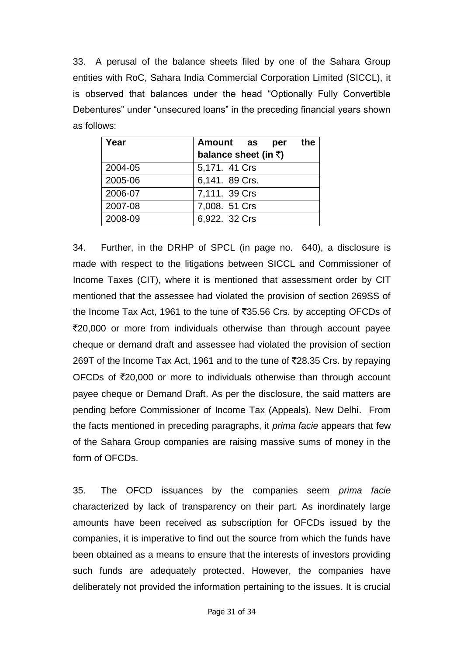33. A perusal of the balance sheets filed by one of the Sahara Group entities with RoC, Sahara India Commercial Corporation Limited (SICCL), it is observed that balances under the head "Optionally Fully Convertible Debentures" under "unsecured loans" in the preceding financial years shown as follows:

| Year    | the<br>Amount as<br>per |
|---------|-------------------------|
|         | balance sheet (in ₹)    |
| 2004-05 | 5,171. 41 Crs           |
| 2005-06 | 6,141. 89 Crs.          |
| 2006-07 | 7,111. 39 Crs           |
| 2007-08 | 7,008. 51 Crs           |
| 2008-09 | 6,922. 32 Crs           |

34. Further, in the DRHP of SPCL (in page no. 640), a disclosure is made with respect to the litigations between SICCL and Commissioner of Income Taxes (CIT), where it is mentioned that assessment order by CIT mentioned that the assessee had violated the provision of section 269SS of the Income Tax Act, 1961 to the tune of  $\overline{535.56}$  Crs. by accepting OFCDs of `20,000 or more from individuals otherwise than through account payee cheque or demand draft and assessee had violated the provision of section 269T of the Income Tax Act, 1961 and to the tune of ₹28.35 Crs. by repaying OFCDs of  $\overline{x}$ 20,000 or more to individuals otherwise than through account payee cheque or Demand Draft. As per the disclosure, the said matters are pending before Commissioner of Income Tax (Appeals), New Delhi. From the facts mentioned in preceding paragraphs, it *prima facie* appears that few of the Sahara Group companies are raising massive sums of money in the form of OFCDs.

35. The OFCD issuances by the companies seem *prima facie*  characterized by lack of transparency on their part. As inordinately large amounts have been received as subscription for OFCDs issued by the companies, it is imperative to find out the source from which the funds have been obtained as a means to ensure that the interests of investors providing such funds are adequately protected. However, the companies have deliberately not provided the information pertaining to the issues. It is crucial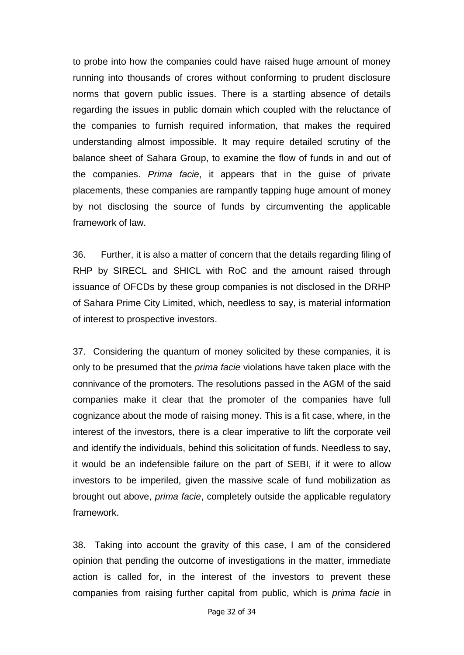to probe into how the companies could have raised huge amount of money running into thousands of crores without conforming to prudent disclosure norms that govern public issues. There is a startling absence of details regarding the issues in public domain which coupled with the reluctance of the companies to furnish required information, that makes the required understanding almost impossible. It may require detailed scrutiny of the balance sheet of Sahara Group, to examine the flow of funds in and out of the companies. *Prima facie*, it appears that in the guise of private placements, these companies are rampantly tapping huge amount of money by not disclosing the source of funds by circumventing the applicable framework of law.

36. Further, it is also a matter of concern that the details regarding filing of RHP by SIRECL and SHICL with RoC and the amount raised through issuance of OFCDs by these group companies is not disclosed in the DRHP of Sahara Prime City Limited, which, needless to say, is material information of interest to prospective investors.

37. Considering the quantum of money solicited by these companies, it is only to be presumed that the *prima facie* violations have taken place with the connivance of the promoters. The resolutions passed in the AGM of the said companies make it clear that the promoter of the companies have full cognizance about the mode of raising money. This is a fit case, where, in the interest of the investors, there is a clear imperative to lift the corporate veil and identify the individuals, behind this solicitation of funds. Needless to say, it would be an indefensible failure on the part of SEBI, if it were to allow investors to be imperiled, given the massive scale of fund mobilization as brought out above, *prima facie*, completely outside the applicable regulatory framework.

38. Taking into account the gravity of this case, I am of the considered opinion that pending the outcome of investigations in the matter, immediate action is called for, in the interest of the investors to prevent these companies from raising further capital from public, which is *prima facie* in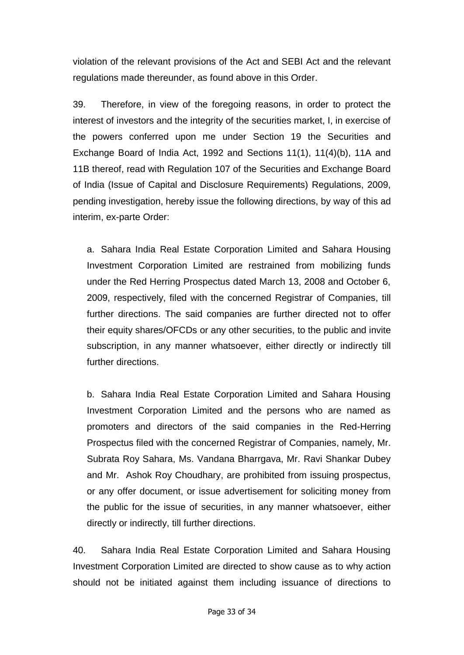violation of the relevant provisions of the Act and SEBI Act and the relevant regulations made thereunder, as found above in this Order.

39. Therefore, in view of the foregoing reasons, in order to protect the interest of investors and the integrity of the securities market, I, in exercise of the powers conferred upon me under Section 19 the Securities and Exchange Board of India Act, 1992 and Sections 11(1), 11(4)(b), 11A and 11B thereof, read with Regulation 107 of the Securities and Exchange Board of India (Issue of Capital and Disclosure Requirements) Regulations, 2009, pending investigation, hereby issue the following directions, by way of this ad interim, ex-parte Order:

a. Sahara India Real Estate Corporation Limited and Sahara Housing Investment Corporation Limited are restrained from mobilizing funds under the Red Herring Prospectus dated March 13, 2008 and October 6, 2009, respectively, filed with the concerned Registrar of Companies, till further directions. The said companies are further directed not to offer their equity shares/OFCDs or any other securities, to the public and invite subscription, in any manner whatsoever, either directly or indirectly till further directions.

b. Sahara India Real Estate Corporation Limited and Sahara Housing Investment Corporation Limited and the persons who are named as promoters and directors of the said companies in the Red-Herring Prospectus filed with the concerned Registrar of Companies, namely, Mr. Subrata Roy Sahara, Ms. Vandana Bharrgava, Mr. Ravi Shankar Dubey and Mr. Ashok Roy Choudhary, are prohibited from issuing prospectus, or any offer document, or issue advertisement for soliciting money from the public for the issue of securities, in any manner whatsoever, either directly or indirectly, till further directions.

40. Sahara India Real Estate Corporation Limited and Sahara Housing Investment Corporation Limited are directed to show cause as to why action should not be initiated against them including issuance of directions to